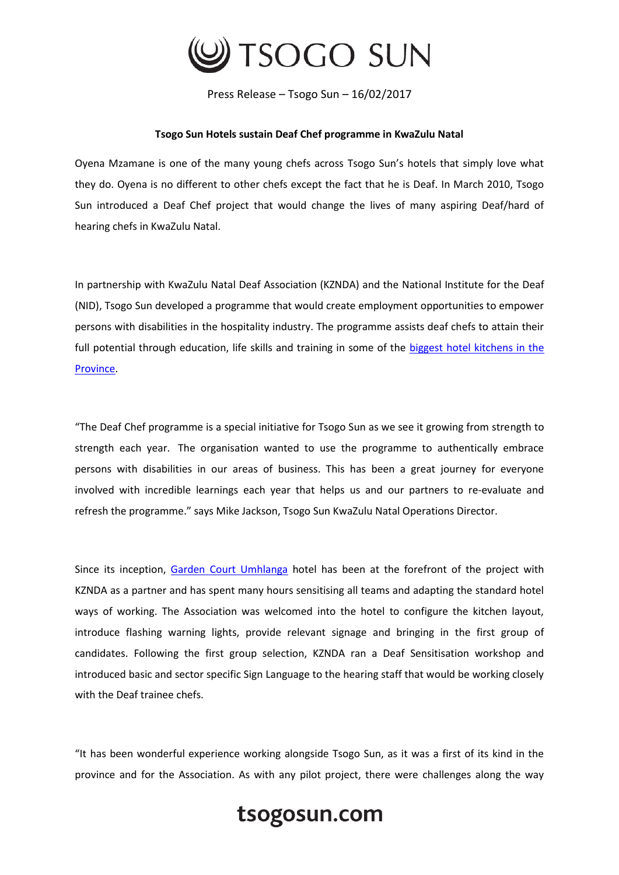

Press Release – Tsogo Sun – 16/02/2017

## **Tsogo Sun Hotels sustain Deaf Chef programme in KwaZulu Natal**

Oyena Mzamane is one of the many young chefs across Tsogo Sun's hotels that simply love what they do. Oyena is no different to other chefs except the fact that he is Deaf. In March 2010, Tsogo Sun introduced a Deaf Chef project that would change the lives of many aspiring Deaf/hard of hearing chefs in KwaZulu Natal.

In partnership with KwaZulu Natal Deaf Association (KZNDA) and the National Institute for the Deaf (NID), Tsogo Sun developed a programme that would create employment opportunities to empower persons with disabilities in the hospitality industry. The programme assists deaf chefs to attain their full potential through education, life skills and training in some of the biggest hotel kitchens in the [Province.](https://www.tsogosun.com/destinations/south-africa/durban)

"The Deaf Chef programme is a special initiative for Tsogo Sun as we see it growing from strength to strength each year. The organisation wanted to use the programme to authentically embrace persons with disabilities in our areas of business. This has been a great journey for everyone involved with incredible learnings each year that helps us and our partners to re-evaluate and refresh the programme." says Mike Jackson, Tsogo Sun KwaZulu Natal Operations Director.

Since its inception, [Garden Court Umhlanga](https://www.tsogosun.com/garden-court-umhlanga) hotel has been at the forefront of the project with KZNDA as a partner and has spent many hours sensitising all teams and adapting the standard hotel ways of working. The Association was welcomed into the hotel to configure the kitchen layout, introduce flashing warning lights, provide relevant signage and bringing in the first group of candidates. Following the first group selection, KZNDA ran a Deaf Sensitisation workshop and introduced basic and sector specific Sign Language to the hearing staff that would be working closely with the Deaf trainee chefs.

"It has been wonderful experience working alongside Tsogo Sun, as it was a first of its kind in the province and for the Association. As with any pilot project, there were challenges along the way

## tsogosun.com